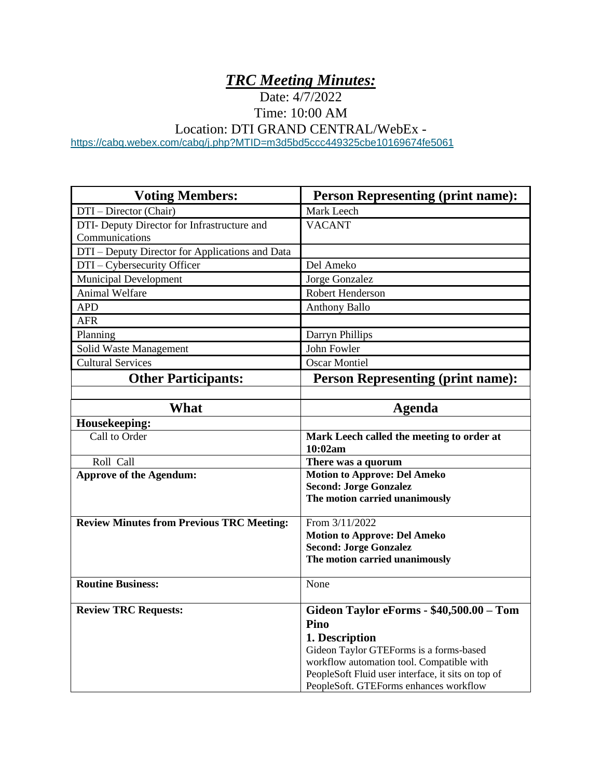# *TRC Meeting Minutes:*

Date: 4/7/2022

Time: 10:00 AM Location: DTI GRAND CENTRAL/WebEx -

<https://cabq.webex.com/cabq/j.php?MTID=m3d5bd5ccc449325cbe10169674fe5061>

| <b>Voting Members:</b>                           | <b>Person Representing (print name):</b>           |
|--------------------------------------------------|----------------------------------------------------|
| DTI – Director (Chair)                           | Mark Leech                                         |
| DTI- Deputy Director for Infrastructure and      | <b>VACANT</b>                                      |
| Communications                                   |                                                    |
| DTI - Deputy Director for Applications and Data  |                                                    |
| DTI - Cybersecurity Officer                      | Del Ameko                                          |
| <b>Municipal Development</b>                     | Jorge Gonzalez                                     |
| <b>Animal Welfare</b>                            | <b>Robert Henderson</b>                            |
| <b>APD</b>                                       | <b>Anthony Ballo</b>                               |
| <b>AFR</b>                                       |                                                    |
| Planning                                         | Darryn Phillips                                    |
| Solid Waste Management                           | John Fowler                                        |
| <b>Cultural Services</b>                         | <b>Oscar Montiel</b>                               |
| <b>Other Participants:</b>                       | <b>Person Representing (print name):</b>           |
|                                                  |                                                    |
| <b>What</b>                                      | Agenda                                             |
| Housekeeping:                                    |                                                    |
| Call to Order                                    | Mark Leech called the meeting to order at          |
|                                                  | 10:02am                                            |
| Roll Call                                        | There was a quorum                                 |
| <b>Approve of the Agendum:</b>                   | <b>Motion to Approve: Del Ameko</b>                |
|                                                  | <b>Second: Jorge Gonzalez</b>                      |
|                                                  | The motion carried unanimously                     |
| <b>Review Minutes from Previous TRC Meeting:</b> | From 3/11/2022                                     |
|                                                  | <b>Motion to Approve: Del Ameko</b>                |
|                                                  | <b>Second: Jorge Gonzalez</b>                      |
|                                                  | The motion carried unanimously                     |
| <b>Routine Business:</b>                         | None                                               |
|                                                  |                                                    |
| <b>Review TRC Requests:</b>                      | Gideon Taylor eForms - \$40,500.00 - Tom           |
|                                                  | Pino                                               |
|                                                  | 1. Description                                     |
|                                                  | Gideon Taylor GTEForms is a forms-based            |
|                                                  | workflow automation tool. Compatible with          |
|                                                  | PeopleSoft Fluid user interface, it sits on top of |
|                                                  | PeopleSoft. GTEForms enhances workflow             |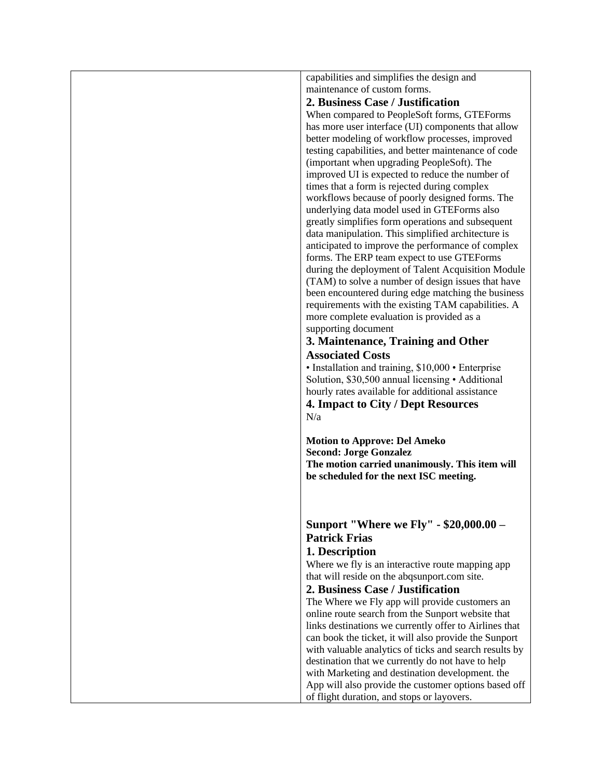capabilities and simplifies the design and maintenance of custom forms.

### **2. Business Case / Justification**

When compared to PeopleSoft forms, GTEForms has more user interface (UI) components that allow better modeling of workflow processes, improved testing capabilities, and better maintenance of code (important when upgrading PeopleSoft). The improved UI is expected to reduce the number of times that a form is rejected during complex workflows because of poorly designed forms. The underlying data model used in GTEForms also greatly simplifies form operations and subsequent data manipulation. This simplified architecture is anticipated to improve the performance of complex forms. The ERP team expect to use GTEForms during the deployment of Talent Acquisition Module (TAM) to solve a number of design issues that have been encountered during edge matching the business requirements with the existing TAM capabilities. A more complete evaluation is provided as a supporting document

### **3. Maintenance, Training and Other Associated Costs**

• Installation and training, \$10,000 • Enterprise Solution, \$30,500 annual licensing • Additional hourly rates available for additional assistance

**4. Impact to City / Dept Resources**  N/a

**Motion to Approve: Del Ameko Second: Jorge Gonzalez The motion carried unanimously. This item will be scheduled for the next ISC meeting.**

## **Sunport "Where we Fly" - \$20,000.00 – Patrick Frias**

### **1. Description**

Where we fly is an interactive route mapping app that will reside on the abqsunport.com site.

#### **2. Business Case / Justification**

The Where we Fly app will provide customers an online route search from the Sunport website that links destinations we currently offer to Airlines that can book the ticket, it will also provide the Sunport with valuable analytics of ticks and search results by destination that we currently do not have to help with Marketing and destination development. the App will also provide the customer options based off of flight duration, and stops or layovers.